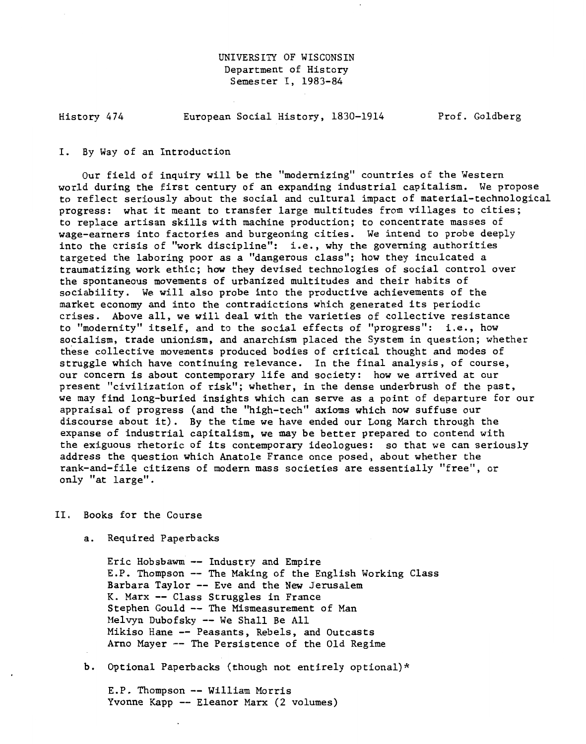# UNIVERSITY OF WISCONSIN Department of History Semester I, 1983-84

History 474 European Social History, 1830-1914 Prof. Goldberg

### I. By Way of an Introduction

Our field of inquiry will be the "modernizing" countries of the Western world during the first century of an expanding industrial capitalism. We propose to reflect seriously about the social and cultural impact of material-technological progress: what it meant to transfer large multitudes from villages to cities; to replace artisan skills with machine production; to concentrate masses of wage-earners into factories and burgeoning cities. We intend to probe deeply into the crisis of "work discipline": i.e., why the governing authorities targeted the laboring poor as a "dangerous class"; how they inculcated a traumatizing work ethic; how they devised technologies of social control over the spontaneous movements of urbanized multitudes and their habits of sociability. We will also probe into the productive achievements of the market economy and into the contradictions which generated its periodic crises. Above all, we will deal with the varieties of collective resistance to "modernity" itself, and to the social effects of "progress": i.e., how socialism, trade unionism, and anarchism placed the System in question; whether these collective movements produced bodies of critical thought and modes of struggle which have continuing relevance. In the final analysis, of course, our concern is about contemporary life and society: how we arrived at our present "civilization of risk"; whether, in the dense underbrush of the past, we may find long-buried insights which can serve as a point of departure for our appraisal of progress (and the "high-tech" axioms which now suffuse our discourse about it). By the time we have ended our Long March through the expanse of industrial capitalism, we may be better prepared to contend with the exiguous rhetoric of its contemporary ideologues: so that we can seriously address the question which Anatole France once posed, about whether the rank-and-file citizens of modern mass societies are essentially "free", or only "at large".

# II. Books for the Course

a. Required Paperbacks

Eric Hobsbawm -- Industry and Empire E.P. Thompson -- The Making of the English Working Class Barbara Taylor -- Eve and the New Jerusalem K. Marx -- Class Struggles in France Stephen Gould -- The Mismeasurement of Man Helvyn Dubofsky -- We Shall Be All Mikiso Hane -- Peasants, Rebels, and Outcasts Arne Mayer -- The Persistence of the Old Regime

b. Optional Paperbacks (though not entirely optional)\*

E.P. Thompson-- William Morris Yvonne Kapp -- Eleanor Marx (2 volumes)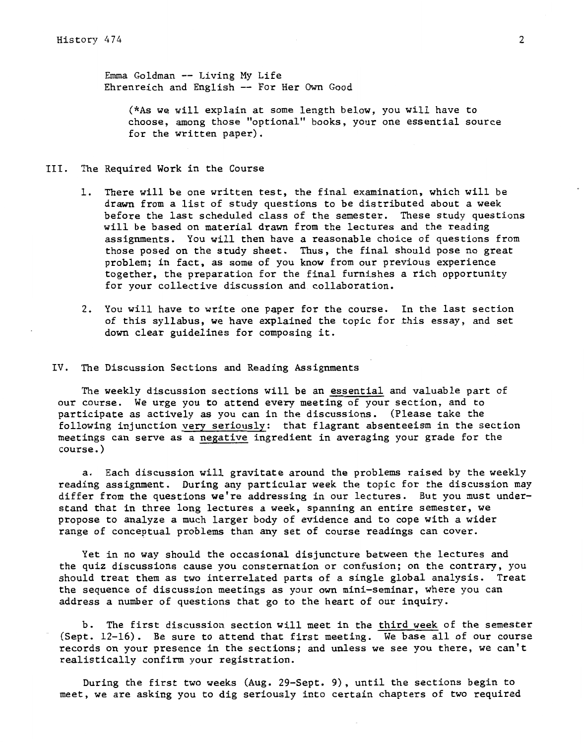Emma Goldman -- Living My Life Ehrenreich and English -- For Her Own Good

(\*As we will explain at some length below, you will have to choose, among those "optional" books, your one essential source for the written paper).

- III. The Required Work in the Course
	- 1. There will be one written test, the final examination, which will be drawn from a list of study questions to be distributed about a week before the last scheduled class of the semester. These study questions will be based on material drawn from the lectures and the reading assignments. You will then have a reasonable choice of questions from those posed on the study sheet. Thus, the final should pose no great problem; in fact, as some of you know from our previous experience together, the preparation for the final furnishes a rich opportunity for your collective discussion and collaboration.
	- 2. You will have to write one paper for the course. In the last section of this syllabus, we have explained the topic for this essay, and set down clear guidelines for composing it.

## IV. The Discussion Sections and Reading Assignments

The weekly discussion sections will be an essential and valuable part of our course. We urge you to attend every meeting of your section, and to participate as actively as you can in the discussions. (Please take the following injunction very seriously: that flagrant absenteeism in the section meetings can serve as a negative ingredient in averaging your grade for the course.)

a. Each discussion will gravitate around the problems raised by the weekly reading assignment. During any particular week the topic for the discussion may differ from the questions we're addressing in our lectures. But you must understand that in three long lectures a week, spanning an entire semester, we propose to analyze a much larger body of evidence and to cope with a wider range of conceptual problems than any set of course readings can cover.

Yet in no way should the occasional disjuncture between the lectures and the quiz discussions cause you consternation or confusion; on the contrary, you should treat them as two interrelated parts of a single global analysis. Treat the sequence of discussion meetings as your own mini-seminar, where you can address a number of questions that go to the heart of our inquiry.

b. The first discussion section will meet in the third week of the semester (Sept. 12-16). Be sure to attend that first meeting. We base all of our course records on your presence in the sections; and unless we see you there, we can't realistically confirm your registration.

During the first two weeks (Aug. 29-Sept. 9), until the sections begin to meet, we are asking you to dig seriously into certain chapters of two required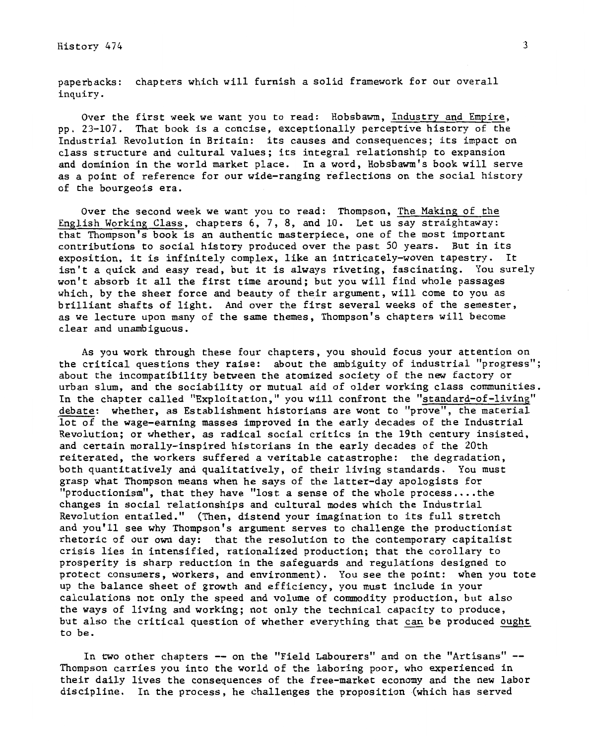paperbacks: chapters which will furnish a solid framework for our overall inquiry.

Over the first week we want you to read: Hobsbawm, Industry and Empire, pp. 23-107. That book is a concise, exceptionally perceptive history of the Industrial Revolution in Britain: its causes and consequences; its impact on class structure and cultural values; its integral relationship to expansion and dominion in the world market place. In a word, Hobsbawm's book will serve as a point of reference for our wide-ranging reflections on the social history of the bourgeois era.

Over the second week we want you to read: Thompson, The Making of the English Working Class, chapters 6, 7, 8, and 10. Let us say straightaway: that Thompson's book is an authentic masterpiece, one of the most important contributions to social history produced over the past 50 years. But in its exposition, it is infinitely complex, like an intricately-woven tapestry. It isn't a quick and easy read, but it is always riveting, fascinating. You surely won't absorb it all the first time around; but you will find whole passages which, by the sheer force and beauty of their argument, will come to you as brilliant shafts of light. And over the first several weeks of the semester, as we lecture upon many of the same themes, Thompson's chapters will become clear and unambiguous.

As you work through these four chapters, you should focus your attention on the critical questions they raise: about the ambiguity of industrial "progress"; about the incompatibility between the atomized society of the new factory or urban slum, and the sociability or mutual aid of older working class communities. In the chapter called "Exploitation," you will confront the "standard-of-living" debate: whether, as Establishment historians are wont to "prove", the material lot of the wage-earning masses improved in the early decades of the Industrial Revolution; or whether, as radical social critics in the 19th century insisted, and certain morally-inspired historians in the early decades of the 20th reiterated, the workers suffered a veritable catastrophe: the degradation, both quantitatively and qualitatively, of their living standards. You must grasp what Thompson means when he says of the latter-day apologists for "productionism", that they have "lost a sense of the whole process....the changes in social relationships and cultural modes which the Industrial Revolution entailed." (Then, distend your imagination to its full stretch and you'll see why Thompson's argument serves to challenge the productionist rhetoric of our own day: that the resolution to the contemporary capitalist crisis lies in intensified, rationalized production; that the corollary to prosperity is sharp reduction in the safeguards and regulations designed to protect consumers, workers, and environment). You see the point: when you tote up the balance sheet of growth and efficiency, you must include in your calculations not only the speed and volume of commodity production, but also the ways of living and working; not only the technical capacity to produce, but also the critical question of whether everything that can be produced ought to be.

In two other chapters -- on the "Field Labourers" and on the "Artisans" --Thompson carries you into the world of the laboring poor, who experienced in their daily lives the consequences of the free-market economy and the new labor discipline. In the process, he challenges the proposition (which has served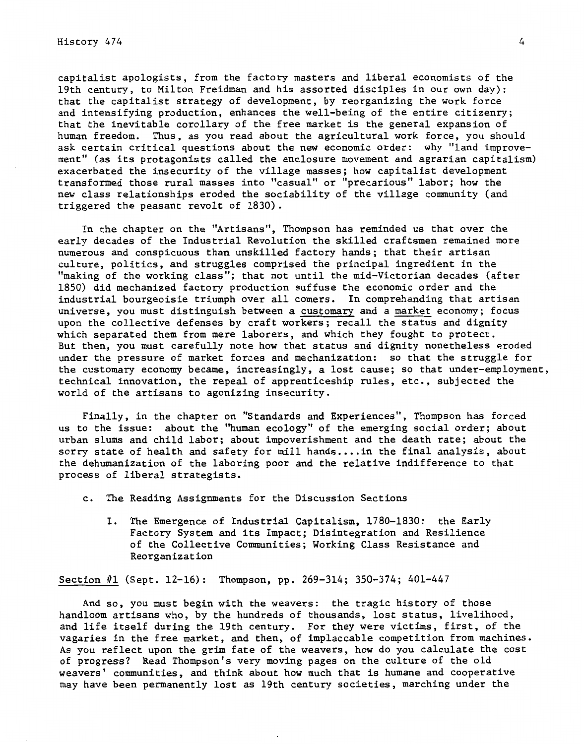History 474

capitalist apologists, from the factory masters and liberal economists of the 19th century, to Milton Freidman and his assorted disciples in our own day): that the capitalist strategy of development, by reorganizing the work force and intensifying production, enhances the well-being of the entire citizenry; that the inevitable corollary of the free market is the general expansion of human freedom. Thus, as you read about the agricultural work force, you should ask certain critical questions about the new economic order: why "land improvement" (as its protagonists called the enclosure movement and agrarian capitalism) exacerbated the insecurity of the village masses; how capitalist development transformed those rural masses into "casual" or "precarious" labor; how the new class relationships eroded the sociability of the village community (and triggered the peasant revolt of 1830) •

In the chapter on the "Artisans", Thompson has reminded us that over the early decades of the Industrial Revolution the skilled craftsmen remained more numerous and conspicuous than unskilled factory hands; that their artisan culture, politics, and struggles comprised the principal ingredient in the "making of the working class"; that not until the mid-Victorian decades (after 1850) did mechanized factory production suffuse the economic order and the industrial bourgeoisie triumph over all comers. In comprehanding that artisan universe, you must distinguish between a customary and a market economy; focus upon the collective defenses by craft workers; recall the status and dignity which separated them from mere laborers, and which they fought to protect. But then, you must carefully note how that status and dignity nonetheless eroded under the pressure of market forces and mechanization: so that the struggle for the customary economy became, increasingly, a lost cause; so that under-employment, technical innovation, the repeal of apprenticeship rules, etc., subjected the world of the artisans to agonizing insecurity.

Finally, in the chapter on "Standards and Experiences", Thompson has forced us to the issue: about the ''human ecology" of the emerging social order; about urban slums and child labor; about impoverishment and the death rate; about the sorry state of health and safety for mill hands.... in the final analysis, about the dehumanization of the laboring poor and the relative indifference to that process of liberal strategists.

- c. The Reading Assignments for the Discussion Sections
	- I. The Emergence of Industrial Capitalism, 1780-1830: the Early Factory System and its Impact; Disintegration and Resilience of the Collective Communities; Working Class Resistance and Reorganization

Section #1 (Sept. 12-16): Thompson, pp. 269-314; 350-374; 401-447

And so, you must begin with the weavers: the tragic history of those handloom artisans who, by the hundreds of thousands, lost status, livelihood, and life itself during the 19th century. For they were victims, first, of the vagaries in the free market, and then, of implaccable competition from machines. As you reflect upon the grim fate of the weavers, how do you calculate the cost of progress? Read Thompson's very moving pages on the culture of the old weavers' communities, and think about how much that is humane and cooperative may have been permanently lost as 19th century societies, marching under the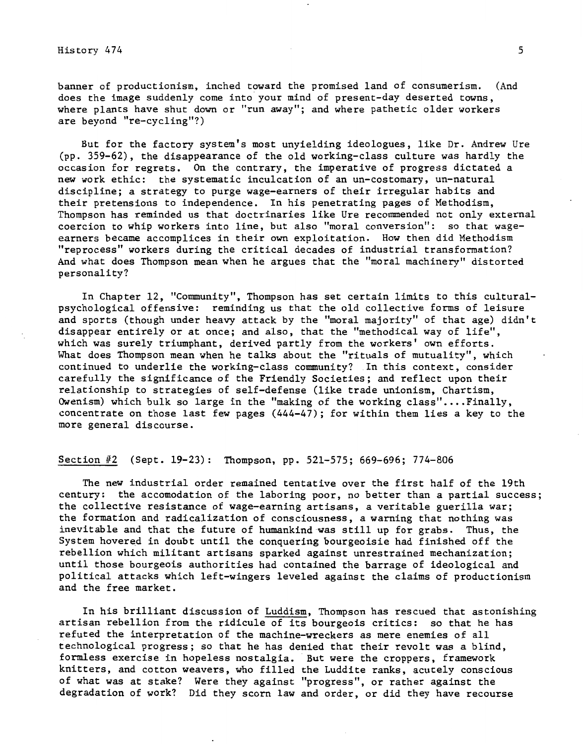banner of productionism, inched toward the promised land of consumerism. (And does the image suddenly come into your mind of present-day deserted towns, where plants have shut down or "run away"; and where pathetic older workers are beyond "re-cycling"?)

But for the factory system's most unyielding ideologues, like Dr. Andrew Ure (pp. 359-62), the disappearance of the old working-class culture was hardly the occasion for regrets. On the contrary, the imperative of progress dictated a new work ethic: the systematic inculcation of an un-costomary, un-natural discipline; a strategy to purge wage-earners of their irregular habits and their pretensions to independence. In his penetrating pages of Methodism, Thompson has reminded us that doctrinaries like Ure recommended not only external coercion to whip workers into line, but also "moral conversion": so that wageearners became accomplices in their own exploitation. How then did Methodism "reprocess" workers during the critical decades of industrial transformation? And what does Thompson mean when he argues that the "moral machinery" distorted personality?

In Chapter 12, "Community", Thompson has set certain limits to this culturalpsychological offensive: reminding us that the old collective forms of leisure and sports (though under heavy attack by the "moral majority" of that age) didn't disappear entirely or at once; and also, that the "methodical way of life", which was surely triumphant, derived partly from the workers' own efforts. What does Thompson mean when he talks about the "rituals of mutuality", which continued to underlie the working-class community? .In this context, consider carefully the significance of the Friendly Societies; and reflect upon their relationship to strategies of self-defense (like trade unionism, Chartism, Owenism) which bulk so large in the "making of the working class".... Finally, concentrate on those last few pages (444-47); for within them lies a key to the more general discourse.

## Section #2 (Sept. 19-23): Thompson, pp. 521-575; 669-696; 774-806

The new industrial order remained tentative over the first half of the 19th century: the accomodation of the laboring poor, no better than a partial success; the collective resistance of wage-earning artisans, a veritable guerilla war; the formation and radicalization of consciousness, a warning that nothing was inevitable and that the future of humankind was still up for grabs. Thus, the System hovered in doubt until the conquering bourgeoisie had finished off the rebellion which militant artisans sparked against unrestrained mechanization; until those bourgeois authorities had contained the barrage of ideological and political attacks which left-wingers leveled against the claims of productionism and the free market.

In his brilliant discussion of Luddism, Thompson has rescued that astonishing artisan rebellion from the ridicule of its bourgeois critics: so that he has refuted the interpretation of the machine-wreckers as mere enemies of all technological progress; so that he has denied that their revolt was a blind, formless exercise in hopeless nostalgia. But were the croppers, framework knitters, and cotton weavers, who filled the Luddite ranks, acutely conscious of what was at stake? Were they against "progress", or rather against the degradation of work? Did they scorn law and order, or did they have recourse

5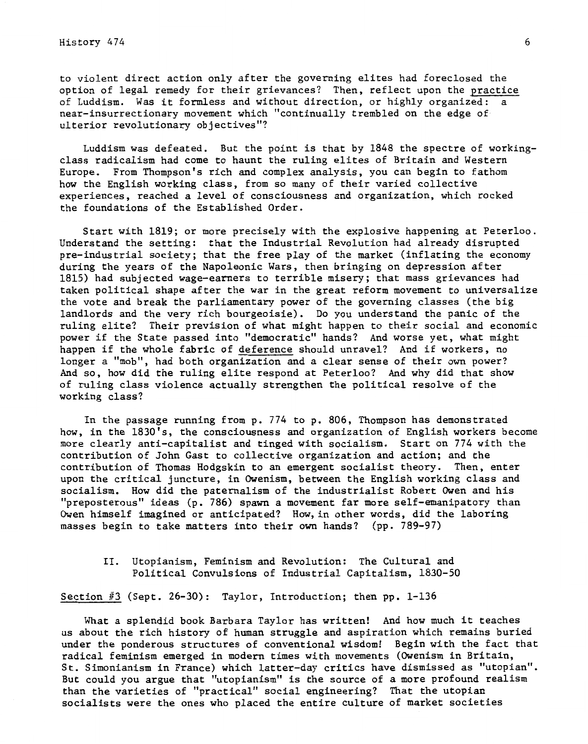History 474

to violent direct action only after the governing elites had foreclosed the option of legal remedy for their grievances? Then, reflect upon the practice of Luddism. Was it formless and without direction, or highly organized: a near-insurrectionary movement which "continually trembled on the edge of ulterior revolutionary objectives"?

Luddism was defeated. But the point is that by 1848 the spectre of workingclass radicalism had come to haunt the ruling elites of Britain and Western Europe. From Thompson's rich and complex analysis, you can begin to fathom how the English working class, from so many of their varied collective experiences, reached a level of consciousness and organization, which rocked the foundations of the Established Order.

Start with 1819; or more precisely with the explosive happening at Peterloo. Understand the setting: that the Industrial Revolution had already disrupted pre-industrial society; that the free play of the market (inflating the economy during the years of the Napoleonic Wars, then bringing on depression after 1815) had subjected wage-earners to terrible misery; that mass grievances had taken political shape after the war in the great reform movement to universalize the vote and break the parliamentary power of the governing classes (the big landlords and the very rich bourgeoisie). Do you understand the panic of the ruling elite? Their prevision of what might happen to their social and economic power if the State passed into "democratic" hands? And worse yet, what might happen if the whole fabric of deference should unravel? And if workers, no longer a "mob", had both organization and a clear sense of their own power? And so, how did the ruling elite respond at Peterloo? And why did that show of ruling class violence actually strengthen the political resolve of the working class?

In the passage running from p. 774 to p. 806, Thompson has demonstrated how, in the 1830's, the consciousness and organization of English workers become more clearly anti-capitalist and tinged with socialism. Start on 774 with the contribution of John Gast to collective organization and action; and the contribution of Thomas Hodgskin to an emergent socialist theory. Then, enter upon the critical juncture, in Owenism, between the English working class and socialism. How did the paternalism of the industrialist Robert Owen and his "preposterous" ideas (p. 786) spawn a movement far more self-emanipatory than Owen himself imagined or anticipated? How,in other words, did the laboring masses begin to take matters into their own hands? (pp. 789-97)

II. Utopianism, Feminism and Revolution: The Cultural and Political Convulsions of Industrial Capitalism, 1830-50

Section #3 (Sept. 26-30): Taylor, Introduction; then pp. 1-136

What a splendid book Barbara Taylor has written! And how much it teaches us about the rich history of human struggle and aspiration which remains buried under the ponderous structures of conventional wisdom! Begin with the fact that radical feminism emerged in modern times with movements (Owenism in Britain, St. Simonianism in France) which latter-day critics have dismissed as "utopian". But could you argue that "utopianism" is the source of a more profound realism than the varieties of "practical" social engineering? That the utopian socialists were the ones who placed the entire culture of market societies

6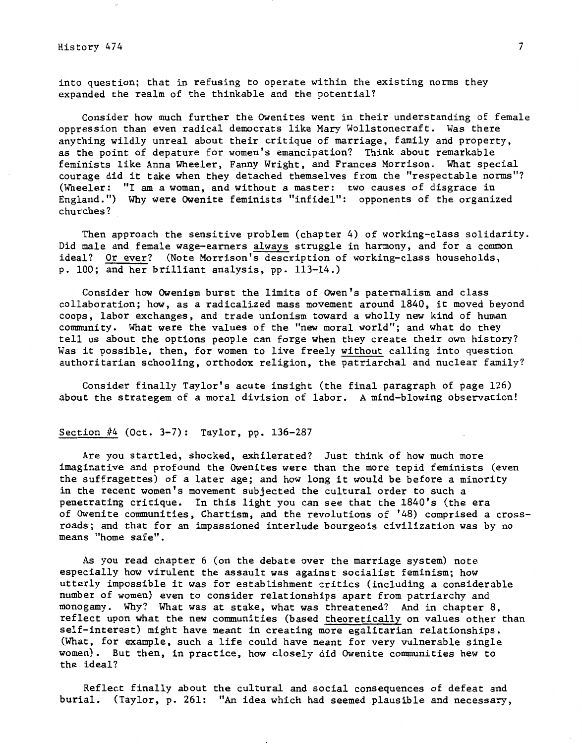into question; that in refusing to operate within the existing norms they expanded the realm of the thinkable and the potential?

Consider how much further the Owenites went in their understanding of female oppression than even radical democrats like Mary Wollstonecraft. Was there anything wildly unreal about their critique of marriage, family and property, as the point of depature for women's emancipation? Think about remarkable feminists like Anna Wheeler, Fanny Wright, and Frances Morrison. What special courage did it take when they detached themselves from the "respectable norms"? (Wheeler: "I am a woman, and without a master: two causes of disgrace in England.") Why were Owenite feminists "infidel": opponents of the organized churches?

Then approach the sensitive problem (chapter 4) of working-class solidarity. Did male and female wage-earners always struggle in harmony, and for a common ideal? Or ever? (Note Morrison's description of working-class households, p. 100; and her brilliant analysis, pp. 113-14.)

Consider how Owenism burst the limits of Owen's paternalism and class collaboration; how, as a radicalized mass movement around 1840, it moved beyond coops, labor exchanges, and trade unionism toward a wholly new kind of human community. What were the values of the "new moral world"; and what do they tell us about the options people can forge when they create their own history? Was it possible, then, for women to live freely without calling into question authoritarian schooling, orthodox religion, the patriarchal and nuclear family?

Consider finally Taylor's acute insight (the final paragraph of page 126) about the strategem of a moral division of labor. A mind-blowing observation!

## Section #4 (Oct. 3-7): Taylor, pp. 136-287

Are you startled, shocked, exhilerated? Just think of how much more imaginative and profound the Owenites were than the more tepid feminists (even the suffragettes) of a later age; and how long it would be before a minority in the recent women's movement subjected the cultural order to such a penetrating critique. In this light you can see that the 1840's (the era of Owenite communities, Chartism, and the revolutions of '48) comprised a crossroads; and that for an impassioned interlude bourgeois civilization was by no means "home safe".

As you read chapter 6 (on the debate over the marriage system) note especially how virulent the assault was against socialist feminism; how utterly impossible it was for establishment critics (including a considerable number of women) even to consider relationships apart from patriarchy and monogamy. Why? What was at stake, what was threatened? And in chapter 8, reflect upon what the new communities (based theoretically on values other than self-interest) might have meant in creating more egalitarian relationships. (What, for example, such a life could have meant for very vulnerable single women). But then, in practice, how closely did Owenite communities hew to the ideal?

Reflect finally about the cultural and social consequences of defeat and burial. (Taylor, p. 261: "An idea which had seemed plausible and necessary,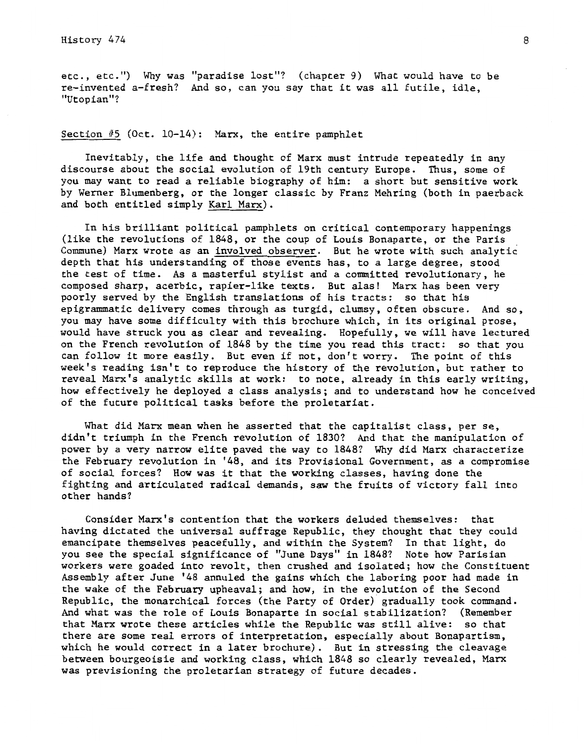etc., etc.") Why was "paradise lost"? (chapter 9) What would have to be re-invented a-fresh? And so, can you say that it was all futile, idle, "Utopian"?

Section  $#5$  (Oct. 10-14): Marx, the entire pamphlet

Inevitably, the life and thought of Marx must intrude repeatedly in any discourse about the social evolution of 19th century Europe. Thus, some of you may want to read a reliable biography of him: a short but sensitive work by Werner Blumenberg, or the longer classic by Franz Mehring (both in paerback and both entitled simply Karl Marx).

In his brilliant political pamphlets on critical contemporary happenings (like the revolutions of 1848, or the coup of Louis Bonaparte, or the Paris Commune) Marx wrote as an involved observer. But he wrote with such analytic depth that his understanding of those events has, to a large degree, stood the test of time. As a masterful stylist and a committed revolutionary, he composed sharp, acerbic, rapier-like texts. But alas! Marx has been very poorly served by the English translations of his tracts: so that his epigrammatic delivery comes through as turgid, clumsy, often obscure. And so, you may have some difficulty with this brochure which, in its original prose, would have struck you as clear and revealing. Hopefully, we will have lectured on the French revolution of 1848 by the time you read this tract: so that you can follow it more easily. But even if not, don't worry. The point of this week's reading isn't to reproduce the history of the revolution, but rather to reveal Marx's analytic skills at work: to note, already in this early writing, how effectively he deployed a class analysis; and to understand how he conceived of the future political tasks before the proletariat.

What did Marx mean when he asserted that the capitalist class, per se, didn't triumph in the French revolution of 1830? And that the manipulation of power by a very narrow elite paved the way to 1848? Why did Marx characterize the February revolution in '48, and its Provisional Government, as a compromise of social forces? How was it that the working classes, having done the fighting and articulated radical demands, saw the fruits of victory fall into other hands?

Consider Marx's contention that the workers deluded themselves: that having dictated the universal suffrage Republic, they thought that they could emancipate themselves peacefully, and within the System? In that light, do you see the special significance of "June Days" in 1848? Note how Parisian workers were goaded into revolt, then crushed and isolated; how the Constituent Assembly after June '48 annuled the gains which the laboring poor had made in the wake of the February upheaval; and how, in the evolution of the Second Republic, the monarchical forces (the Party of Order) gradually took command. And what was the role of Louis Bonaparte in social stabilization? (Remember that Marx wrote these articles while the Republic was still alive: so that there are some real errors of interpretation, especially about Bonapartism, which he would correct in a later brochure). But in stressing the cleavage between bourgeoisie and working class, which 1848 so clearly revealed, Marx was previsioning the proletarian strategy of future decades.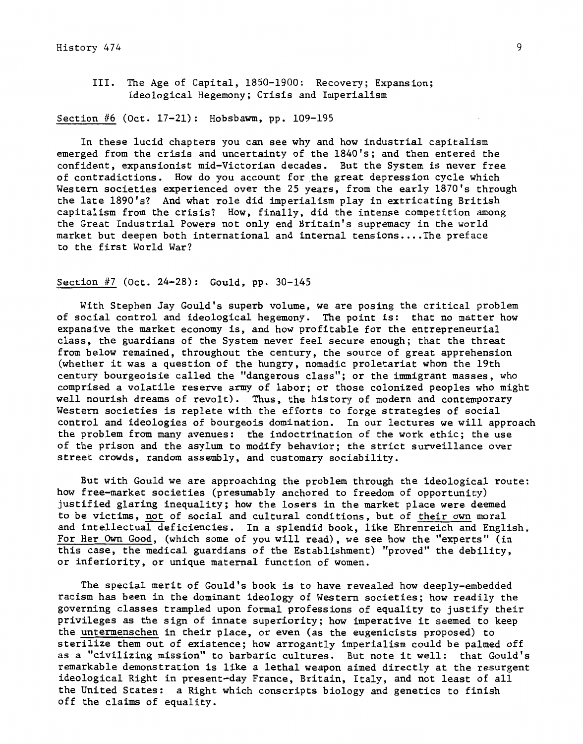III. The Age of Capital, 1850-1900: Recovery; Expansion; Ideological Hegemony; Crisis and Imperialism

# Section #6 (Oct. 17-21): Hobsbawm, pp. 109-195

In these lucid chapters you can see why and how industrial capitalism emerged from the crisis and uncertainty of the 1840's; and then entered the confident, expansionist mid-Victorian decades. But the System is never free of contradictions. How do you account for the great depression cycle which Western societies experienced over the 25 years, from the early 1870's through the late 1890's? And what role did imperialism play in extricating British capitalism from the crisis? How, finally, did the intense competition among the Great Industrial Powers not only end Britain's supremacy in the world market but deepen both international and internal tensions ••.. The preface to the first World War?

## Section #7 (Oct. 24-28): Gould, pp. 30-145

With Stephen Jay Gould's superb volume, we are posing the critical problem of social control and ideological hegemony. The point is: that no matter how expansive the market economy is, and how profitable for the entrepreneurial class, the guardians of the System never feel secure enough; that the threat from below remained, throughout the century, the source of great apprehension (whether it was a question of the hungry, nomadic proletariat whom the 19th century bourgeoisie called the "dangerous class"; or the immigrant masses, who comprised a volatile reserve army of labor; or those colonized peoples who might well nourish dreams of revolt). Thus, the history of modern and contemporary Western societies is replete with the efforts to forge strategies of social control and ideologies of bourgeois domination. In our lectures we will approach the problem from many avenues: the indoctrination of the work ethic; the use of the prison and the asylum to modify behavior; the strict surveillance over street crowds, random assembly, and customary sociability.

But with Gould we are approaching the problem through the ideological route: how free-market societies (presumably anchored to freedom of opportunity) justified glaring inequality; how the losers in the market place were deemed to be victims, not of social and cultural conditions, but of their own moral and intellectual deficiencies. In a splendid book, like Ehrenreich and English, For Her Own Good, (which some of you will read), we see how the "experts" (in this case, the medical guardians of the Establishment) "proved" the debility, or inferiority, or unique maternal function of women.

The special merit of Gould's book is to have revealed how deeply-embedded racism has been in the dominant ideology of Western societies; how readily the governing classes trampled upon formal professions of equality to justify their privileges as the sign of innate superiority; how imperative it seemed to keep the untermenschen in their place, or even (as the eugenicists proposed) to sterilize them out of existence; how arrogantly imperialism could be palmed off as a "civilizing mission" to barbaric cultures. But note it well: that Gould's remarkable demonstration is like a lethal weapon aimed directly at the resurgent ideological Right in present-day France, Britain, Italy, and not least of all the United States: a Right which conscripts biology and genetics to finish off the claims of equality.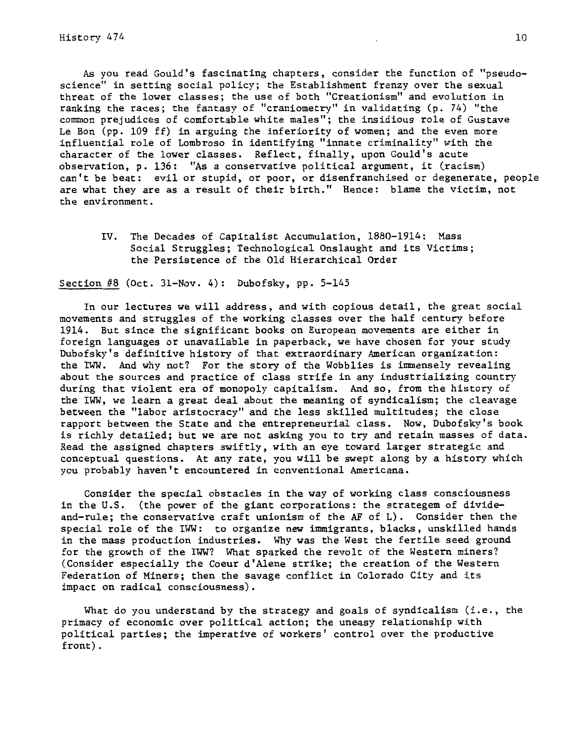As you read Gould's fascinating chapters, consider the function of "pseudoscience" in setting social policy; the Establishment frenzy over the sexual threat of the lower classes; the use of both "Creationism" and evolution in ranking the races; the fantasy of "craniometry" in validating (p. 74) "the common prejudices of comfortable white males"; the insidious role of Gustave Le Bon (pp. 109 ff) in arguing the inferiority of women; and the even more influential role of Lombroso in identifying "innate criminality" with the character of the lower classes. Reflect, finally, upon Gould's acute observation, p. 136: "As a conservative political argument, it (racism) can't be beat: evil or stupid, or poor, or disenfranchised or degenerate, people are what they are as a result of their birth." Hence: blame the victim, not the environment.

IV. The Decades of Capitalist Accumulation, 1880-1914: Mass Social Struggles; Technological Onslaught and its Victims; the Persistence of the Old Hierarchical Order

Section #8 (Oct. 31-Nov. 4): Dubofsky, pp. 5-145

In our lectures we will address, and with copious detail, the great social movements and struggles of the working classes over the half century before 1914. But since the significant books on European movements are either in foreign languages or unavailable in paperback, we have chosen for your study Dubofsky's definitive history of that extraordinary American organization: the IWW. And why not? For the story of the Wobblies is immensely revealing about the sources and practice of class strife in any industrializing country during that violent era of monopoly capitalism. And so, from the history of the IWW, we learn a great deal about the meaning of syndicalism; the cleavage between the "labor aristocracy" and the less skilled multitudes; the close rapport between the State and the entrepreneurial class. Now, Dubofsky's book is richly detailed; but we are not asking you to try and retain masses of data. Read the assigned chapters swiftly, with an eye toward larger strategic and conceptual questions. At any rate, you will be swept along by a history which you probably haven't encountered in conventional Americana.

Consider the special obstacles in the way of working class consciousness in the U.S. (the power of the giant corporations: the strategem of divideand-rule; the conservative craft unionism of the AF of L). Consider then the special role of the IWW: to organize new immigrants, blacks, unskilled hands in the mass production industries. Why was the West the fertile seed ground for the growth of the IWW? What sparked the revolt of the Western miners? (Consider especially the Coeur d'Alene strike; the creation of the Western Federation of Miners; then the savage conflict in Colorado City and its impact on radical consciousness).

What do you understand by the strategy and goals of syndicalism (i.e., the primacy of economic over political action; the uneasy relationship with political parties; the imperative of workers' control over the productive front).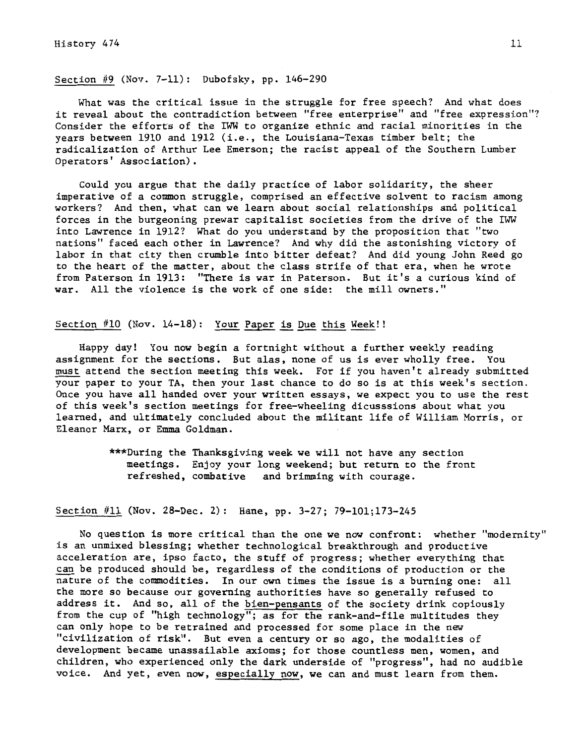# Section #9 (Nov. 7-11): Dubofsky, pp. 146-290

What was the critical issue in the struggle for free speech? And what does it reveal about the contradiction between "free enterprise" and "free expression"? Consider the efforts of the IWW to organize ethnic and racial minorities in the years between 1910 and 1912 (i.e., the Louisiana-Texas timber belt; the radicalization of Arthur Lee Emerson; the racist appeal of the Southern Lumber Operators' Association).

Could you argue that the daily practice of labor solidarity, the sheer imperative of a common struggle, comprised an effective solvent to racism among workers? And then, what can we learn about social relationships and political forces in the burgeoning prewar capitalist societies from the drive of the IWW into Lawrence in 1912? What do you understand by the proposition that "two nations" faced each other in Lawrence? And why did the astonishing victory of labor in that city then crumble into bitter defeat? And did young John Reed go to the heart of the matter, about the class strife of that era, when he wrote from Paterson in 1913: "There is war in Paterson. But it's a curious kind of war. All the violence is the work of one side: the mill owners."

# Section #10 (Nov. 14-18): Your Paper is Due this Week!!

Happy day! You now begin a fortnight without a further weekly reading assignment for the sections. But alas, none of us is ever wholly free. You must attend the section meeting this week. For if you haven't already submitted your paper to your TA, then your last chance to do so is at this week's section. Once you have all handed over your written essays, we expect you to use the rest of this week's section meetings for free-wheeling dicusssions about what you learned, and ultimately concluded about the militant life of William Morris, or Eleanor Marx, or Emma Goldman.

> \*\*\*During the Thanksgiving week we will not have any section meetings. Enjoy your long weekend; but return to the front refreshed, combative and brimming with courage.

## Section #11 (Nov. 28-Dec. 2): Hane, pp. 3-27; 79-101;173-245

No question is more critical than the one we now confront: whether "modernity" is an unmixed blessing; whether technological breakthrough and productive acceleration are, ipso facto, the stuff of progress; whether everything that can be produced should be, regardless of the conditions of production or the nature of the commodities. In our own times the issue is a burning one: all the more so because our governing authorities have so generally refused to address it. And so, all of the bien-pensants of the society drink copiously from the cup of "high technology"; as for the rank-and-file multitudes they can only hope to be retrained and processed for some place in the new "civilization of risk". But even a century or so ago, the modalities of development became unassailable axioms; for those countless men, women, and children, who experienced only the dark underside of "progress", had no audible voice. And yet, even now, especially now, we can and must learn from them.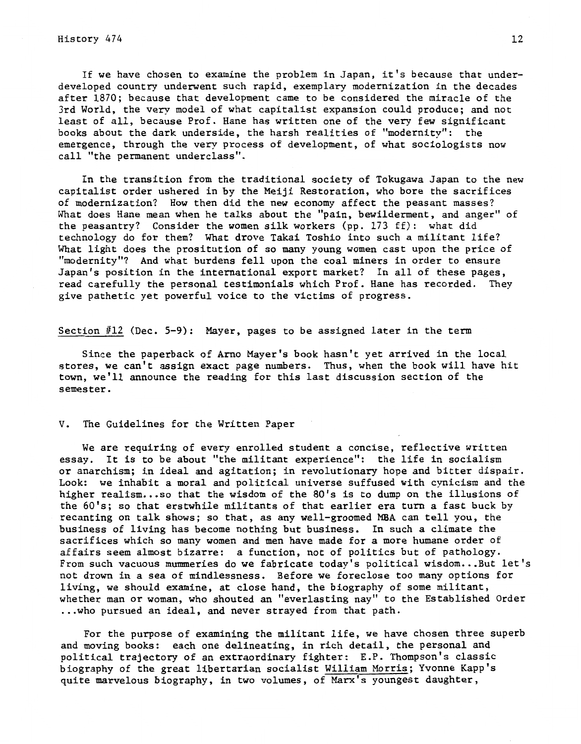# $H$ istory 474 12

If we have chosen to examine the problem in Japan, it's because that underdeveloped country underwent such rapid, exemplary modernization in the decades after 1870; because that development came to be considered the miracle of the 3rd World, the very model of what capitalist expansion could produce; and not least of all, because Prof. Hane has written one of the very few significant books about the dark underside, the harsh realities of "modernity": the emergence, through the very process of development, of what sociologists now call "the permanent underclass".

In the transition from the traditional society of Tokugawa Japan to the new capitalist order ushered in by the Meiji Restoration, who bore the sacrifices of modernization? How then did the new economy affect the peasant masses? What does Hane mean when he talks about the "pain, bewilderment, and anger" of the peasantry? Consider the women silk workers (pp. 173 ff): what did technology do for them? What drove Takai Toshio into such a militant life? What light does the prositution of so many young women cast upon the price of "modernity"? And what burdens fell upon the coal miners in order to ensure Japan's position in the international export market? In all of these pages, read carefully the personal testimonials which Prof. Hane has recorded. They give pathetic yet powerful voice to the victims of progress.

Section #12 (Dec. 5-9): Mayer, pages to be assigned later in the term

Since the paperback of Arno Mayer's book hasn't yet arrived in the local stores, we can't assign exact page numbers. Thus, when the book will have hit town, we'll announce the reading for this last discussion section of the semester.

#### V. The Guidelines for the Written Paper

We are requiring of every enrolled student a concise, reflective written essay. It is to be about "the militant experience": the life in socialism or anarchism; in ideal and agitation; in revolutionary hope and bitter dispair. Look: we inhabit a moral and political universe suffused with cynicism and the higher realism...so that the wisdom of the 80's is to dump on the illusions of the 60's; so that erstwhile militants of that earlier era turn a fast buck by recanting on talk shows; so that, as any well-groomed MBA can tell you, the business of living has become nothing but business. In such a climate the sacrifices which so many women and men have made for a more humane order of affairs seem almost bizarre: a function, not of politics but of pathology. From such vacuous mummeries do we fabricate today's political wisdom...But let's not drown in a sea of mindlessness. Before we foreclose too many options for living, we should examine, at close hand, the biography of some militant, whether man or woman, who shouted an "everlasting nay" to the Established Order ...who pursued an ideal, and never strayed from that path.

For the purpose of examining the militant life, we have chosen three superb and moving books: each one delineating, in rich detail, the personal and political trajectory of an extraordinary fighter: E.P. Thompson's classic biography of the great libertarian socialist William Morris; Yvonne Kapp's quite marvelous biography, in two volumes, of Marx's youngest daughter,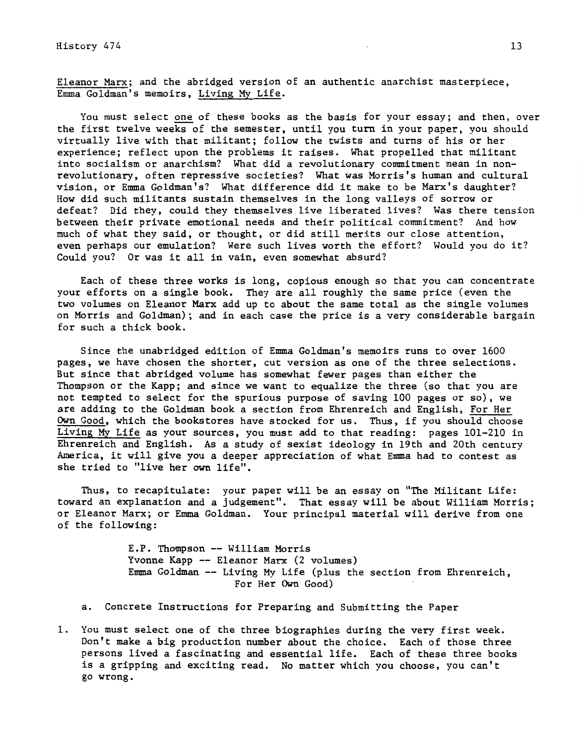Eleanor Marx; and the abridged version of an authentic anarchist masterpiece, Emma Goldman's memoirs, Living My Life.

You must select one of these books as the basis for your essay; and then, over the first twelve weeks of the semester, until you turn in your paper, you should virtually live with that militant; follow the twists and turns of his or her experience; reflect upon the problems it raises. What propelled that militant into socialism or anarchism? What did a revolutionary commitment mean in nonrevolutionary, often repressive societies? What was Morris's human and cultural vision, or Emma Goldman's? What difference did it make to be Marx's daughter? How did such militants sustain themselves in the long valleys of sorrow or defeat? Did they, could they themselves live liberated lives? Was there tension between their private emotional needs and their political commitment? And how much of what they said, or thought, or did still merits our close attention, even perhaps our emulation? Were such lives worth the effort? Would you do it? Could you? Or was it all in vain, even somewhat absurd?

Each of these three works is long, copious enough so that you can concentrate your efforts on a single book. They are all roughly the same price (even the two volumes on Eleanor Marx add up to about the same total as the single volumes on Morris and Goldman); and in each case the price is a very considerable bargain for such a thick book.

Since the unabridged edition of Emma Goldman's memoirs runs to over 1600 pages, we have chosen the shorter, cut version as one of the three selections. But since that abridged volume has somewhat fewer pages than either the Thompson or the Kapp; and since we want to equalize the three (so that you are not tempted to select for the spurious purpose of saving 100 pages or so), we are adding to the Goldman book a section from Ehrenreich and English, For Her Own Good, which the bookstores have stocked for us. Thus, if you should choose Living My Life as your sources, you must add to that reading: pages 101-210 in Ehrenreich and English. As a study of sexist ideology in 19th and 20th century America, it will give you a deeper appreciation of what Emma had to contest as she tried to "live her own life".

Thus, to recapitulate: your paper will be an essay on "The Militant Life: toward an explanation and a judgement". That essay will be about William Morris; or Eleanor Marx; or Emma Goldman. Your principal material will derive from one of the following:

> E.P. Thompson-- William Morris Yvonne Kapp -- Eleanor Marx (2 volumes) Emma Goldman -- Living My Life (plus the section from Ehrenreich, For Her Own Good)

- a. Concrete Instructions for Preparing and Submitting the Paper
- 1. You must select one of the three biographies during the very first week. Don't make a big production number about the choice. Each of those three persons lived a fascinating and essential life. Each of these three books is a gripping and exciting read. No matter which you choose, you can't go wrong.